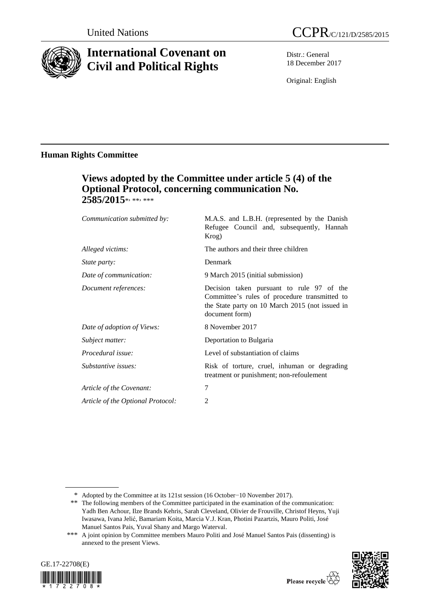

# **International Covenant on Civil and Political Rights**

Distr.: General 18 December 2017

Original: English

## **Human Rights Committee**

# **Views adopted by the Committee under article 5 (4) of the Optional Protocol, concerning communication No.**  2585/2015\*, \*\*, \*\*\*

| Communication submitted by:       | M.A.S. and L.B.H. (represented by the Danish<br>Refugee Council and, subsequently, Hannah<br>Krog)                                                              |
|-----------------------------------|-----------------------------------------------------------------------------------------------------------------------------------------------------------------|
| Alleged victims:                  | The authors and their three children                                                                                                                            |
| <i>State party:</i>               | Denmark                                                                                                                                                         |
| Date of communication:            | 9 March 2015 (initial submission)                                                                                                                               |
| Document references:              | Decision taken pursuant to rule 97 of the<br>Committee's rules of procedure transmitted to<br>the State party on 10 March 2015 (not issued in<br>document form) |
| Date of adoption of Views:        | 8 November 2017                                                                                                                                                 |
| Subject matter:                   | Deportation to Bulgaria                                                                                                                                         |
| Procedural issue:                 | Level of substantiation of claims                                                                                                                               |
| Substantive issues:               | Risk of torture, cruel, inhuman or degrading<br>treatment or punishment; non-refoulement                                                                        |
| Article of the Covenant:          | $\overline{7}$                                                                                                                                                  |
| Article of the Optional Protocol: | $\overline{2}$                                                                                                                                                  |
|                                   |                                                                                                                                                                 |

<sup>\*\*\*</sup> A joint opinion by Committee members Mauro Politi and José Manuel Santos Pais (dissenting) is annexed to the present Views.





<sup>\*</sup> Adopted by the Committee at its 121st session (16 October−10 November 2017).

<sup>\*\*</sup> The following members of the Committee participated in the examination of the communication: Yadh Ben Achour, Ilze Brands Kehris, Sarah Cleveland, Olivier de Frouville, Christof Heyns, Yuji Iwasawa, Ivana Jelić, Bamariam Koita, Marcia V.J. Kran, Photini Pazartzis, Mauro Politi, José Manuel Santos Pais, Yuval Shany and Margo Waterval.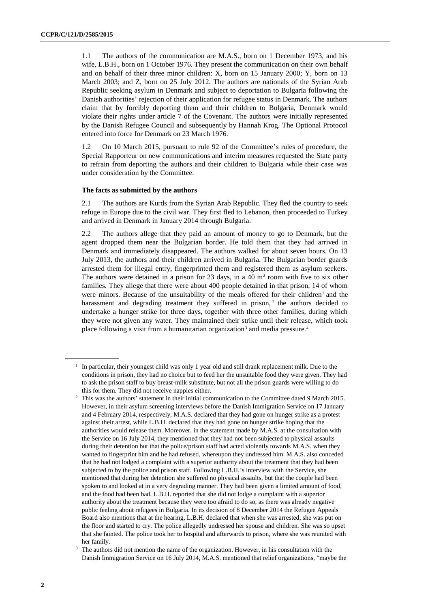1.1 The authors of the communication are M.A.S., born on 1 December 1973, and his wife, L.B.H., born on 1 October 1976. They present the communication on their own behalf and on behalf of their three minor children: X, born on 15 January 2000; Y, born on 13 March 2003; and Z, born on 25 July 2012. The authors are nationals of the Syrian Arab Republic seeking asylum in Denmark and subject to deportation to Bulgaria following the Danish authorities' rejection of their application for refugee status in Denmark. The authors claim that by forcibly deporting them and their children to Bulgaria, Denmark would violate their rights under article 7 of the Covenant. The authors were initially represented by the Danish Refugee Council and subsequently by Hannah Krog. The Optional Protocol entered into force for Denmark on 23 March 1976.

1.2 On 10 March 2015, pursuant to rule 92 of the Committee's rules of procedure, the Special Rapporteur on new communications and interim measures requested the State party to refrain from deporting the authors and their children to Bulgaria while their case was under consideration by the Committee.

#### **The facts as submitted by the authors**

2.1 The authors are Kurds from the Syrian Arab Republic. They fled the country to seek refuge in Europe due to the civil war. They first fled to Lebanon, then proceeded to Turkey and arrived in Denmark in January 2014 through Bulgaria.

2.2 The authors allege that they paid an amount of money to go to Denmark, but the agent dropped them near the Bulgarian border. He told them that they had arrived in Denmark and immediately disappeared. The authors walked for about seven hours. On 13 July 2013, the authors and their children arrived in Bulgaria. The Bulgarian border guards arrested them for illegal entry, fingerprinted them and registered them as asylum seekers. The authors were detained in a prison for 23 days, in a 40  $m<sup>2</sup>$  room with five to six other families. They allege that there were about 400 people detained in that prison, 14 of whom were minors. Because of the unsuitability of the meals offered for their children<sup>1</sup> and the harassment and degrading treatment they suffered in prison, $<sup>2</sup>$  the authors decided to</sup> undertake a hunger strike for three days, together with three other families, during which they were not given any water. They maintained their strike until their release, which took place following a visit from a humanitarian organization<sup>3</sup> and media pressure.<sup>4</sup>

<sup>&</sup>lt;sup>1</sup> In particular, their youngest child was only 1 year old and still drank replacement milk. Due to the conditions in prison, they had no choice but to feed her the unsuitable food they were given. They had to ask the prison staff to buy breast-milk substitute, but not all the prison guards were willing to do this for them. They did not receive nappies either.

<sup>2</sup> This was the authors' statement in their initial communication to the Committee dated 9 March 2015. However, in their asylum screening interviews before the Danish Immigration Service on 17 January and 4 February 2014, respectively, M.A.S. declared that they had gone on hunger strike as a protest against their arrest, while L.B.H. declared that they had gone on hunger strike hoping that the authorities would release them. Moreover, in the statement made by M.A.S. at the consultation with the Service on 16 July 2014, they mentioned that they had not been subjected to physical assaults during their detention but that the police/prison staff had acted violently towards M.A.S. when they wanted to fingerprint him and he had refused, whereupon they undressed him. M.A.S. also conceded that he had not lodged a complaint with a superior authority about the treatment that they had been subjected to by the police and prison staff. Following L.B.H.'s interview with the Service, she mentioned that during her detention she suffered no physical assaults, but that the couple had been spoken to and looked at in a very degrading manner. They had been given a limited amount of food, and the food had been bad. L.B.H. reported that she did not lodge a complaint with a superior authority about the treatment because they were too afraid to do so, as there was already negative public feeling about refugees in Bulgaria. In its decision of 8 December 2014 the Refugee Appeals Board also mentions that at the hearing, L.B.H. declared that when she was arrested, she was put on the floor and started to cry. The police allegedly undressed her spouse and children. She was so upset that she fainted. The police took her to hospital and afterwards to prison, where she was reunited with her family.

<sup>&</sup>lt;sup>3</sup> The authors did not mention the name of the organization. However, in his consultation with the Danish Immigration Service on 16 July 2014, M.A.S. mentioned that relief organizations, "maybe the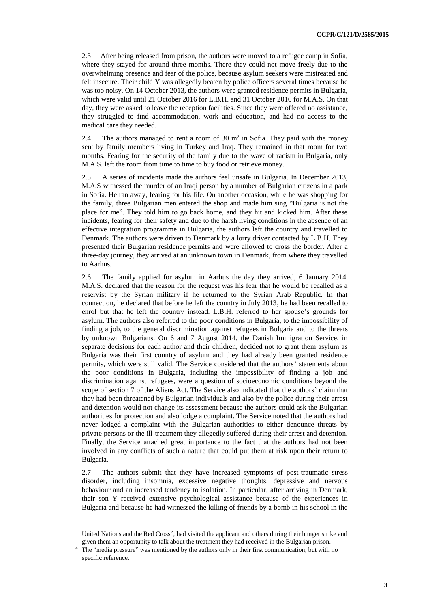2.3 After being released from prison, the authors were moved to a refugee camp in Sofia, where they stayed for around three months. There they could not move freely due to the overwhelming presence and fear of the police, because asylum seekers were mistreated and felt insecure. Their child Y was allegedly beaten by police officers several times because he was too noisy. On 14 October 2013, the authors were granted residence permits in Bulgaria, which were valid until 21 October 2016 for L.B.H. and 31 October 2016 for M.A.S. On that day, they were asked to leave the reception facilities. Since they were offered no assistance, they struggled to find accommodation, work and education, and had no access to the medical care they needed.

2.4 The authors managed to rent a room of 30  $m<sup>2</sup>$  in Sofia. They paid with the money sent by family members living in Turkey and Iraq. They remained in that room for two months. Fearing for the security of the family due to the wave of racism in Bulgaria, only M.A.S. left the room from time to time to buy food or retrieve money.

2.5 A series of incidents made the authors feel unsafe in Bulgaria. In December 2013, M.A.S witnessed the murder of an Iraqi person by a number of Bulgarian citizens in a park in Sofia. He ran away, fearing for his life. On another occasion, while he was shopping for the family, three Bulgarian men entered the shop and made him sing "Bulgaria is not the place for me". They told him to go back home, and they hit and kicked him. After these incidents, fearing for their safety and due to the harsh living conditions in the absence of an effective integration programme in Bulgaria, the authors left the country and travelled to Denmark. The authors were driven to Denmark by a lorry driver contacted by L.B.H. They presented their Bulgarian residence permits and were allowed to cross the border. After a three-day journey, they arrived at an unknown town in Denmark, from where they travelled to Aarhus.

2.6 The family applied for asylum in Aarhus the day they arrived, 6 January 2014. M.A.S. declared that the reason for the request was his fear that he would be recalled as a reservist by the Syrian military if he returned to the Syrian Arab Republic. In that connection, he declared that before he left the country in July 2013, he had been recalled to enrol but that he left the country instead. L.B.H. referred to her spouse's grounds for asylum. The authors also referred to the poor conditions in Bulgaria, to the impossibility of finding a job, to the general discrimination against refugees in Bulgaria and to the threats by unknown Bulgarians. On 6 and 7 August 2014, the Danish Immigration Service, in separate decisions for each author and their children, decided not to grant them asylum as Bulgaria was their first country of asylum and they had already been granted residence permits, which were still valid. The Service considered that the authors' statements about the poor conditions in Bulgaria, including the impossibility of finding a job and discrimination against refugees, were a question of socioeconomic conditions beyond the scope of section 7 of the Aliens Act. The Service also indicated that the authors' claim that they had been threatened by Bulgarian individuals and also by the police during their arrest and detention would not change its assessment because the authors could ask the Bulgarian authorities for protection and also lodge a complaint. The Service noted that the authors had never lodged a complaint with the Bulgarian authorities to either denounce threats by private persons or the ill-treatment they allegedly suffered during their arrest and detention. Finally, the Service attached great importance to the fact that the authors had not been involved in any conflicts of such a nature that could put them at risk upon their return to Bulgaria.

2.7 The authors submit that they have increased symptoms of post-traumatic stress disorder, including insomnia, excessive negative thoughts, depressive and nervous behaviour and an increased tendency to isolation. In particular, after arriving in Denmark, their son Y received extensive psychological assistance because of the experiences in Bulgaria and because he had witnessed the killing of friends by a bomb in his school in the

United Nations and the Red Cross", had visited the applicant and others during their hunger strike and given them an opportunity to talk about the treatment they had received in the Bulgarian prison.

<sup>&</sup>lt;sup>4</sup> The "media pressure" was mentioned by the authors only in their first communication, but with no specific reference.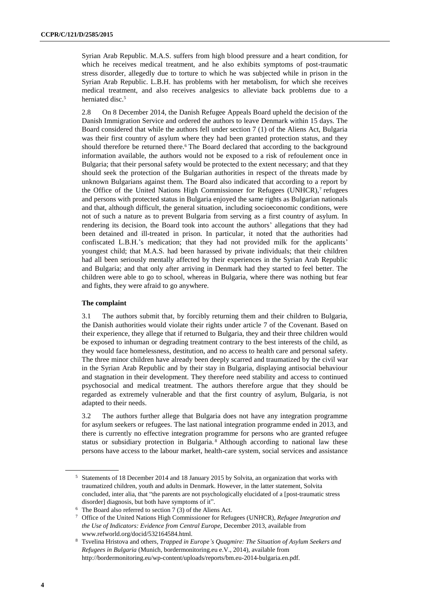Syrian Arab Republic. M.A.S. suffers from high blood pressure and a heart condition, for which he receives medical treatment, and he also exhibits symptoms of post-traumatic stress disorder, allegedly due to torture to which he was subjected while in prison in the Syrian Arab Republic. L.B.H. has problems with her metabolism, for which she receives medical treatment, and also receives analgesics to alleviate back problems due to a herniated disc.<sup>5</sup>

2.8 On 8 December 2014, the Danish Refugee Appeals Board upheld the decision of the Danish Immigration Service and ordered the authors to leave Denmark within 15 days. The Board considered that while the authors fell under section 7 (1) of the Aliens Act, Bulgaria was their first country of asylum where they had been granted protection status, and they should therefore be returned there.<sup>6</sup> The Board declared that according to the background information available, the authors would not be exposed to a risk of refoulement once in Bulgaria; that their personal safety would be protected to the extent necessary; and that they should seek the protection of the Bulgarian authorities in respect of the threats made by unknown Bulgarians against them. The Board also indicated that according to a report by the Office of the United Nations High Commissioner for Refugees (UNHCR),<sup>7</sup> refugees and persons with protected status in Bulgaria enjoyed the same rights as Bulgarian nationals and that, although difficult, the general situation, including socioeconomic conditions, were not of such a nature as to prevent Bulgaria from serving as a first country of asylum. In rendering its decision, the Board took into account the authors' allegations that they had been detained and ill-treated in prison. In particular, it noted that the authorities had confiscated L.B.H.'s medication; that they had not provided milk for the applicants' youngest child; that M.A.S. had been harassed by private individuals; that their children had all been seriously mentally affected by their experiences in the Syrian Arab Republic and Bulgaria; and that only after arriving in Denmark had they started to feel better. The children were able to go to school, whereas in Bulgaria, where there was nothing but fear and fights, they were afraid to go anywhere.

#### **The complaint**

3.1 The authors submit that, by forcibly returning them and their children to Bulgaria, the Danish authorities would violate their rights under article 7 of the Covenant. Based on their experience, they allege that if returned to Bulgaria, they and their three children would be exposed to inhuman or degrading treatment contrary to the best interests of the child, as they would face homelessness, destitution, and no access to health care and personal safety. The three minor children have already been deeply scarred and traumatized by the civil war in the Syrian Arab Republic and by their stay in Bulgaria, displaying antisocial behaviour and stagnation in their development. They therefore need stability and access to continued psychosocial and medical treatment. The authors therefore argue that they should be regarded as extremely vulnerable and that the first country of asylum, Bulgaria, is not adapted to their needs.

3.2 The authors further allege that Bulgaria does not have any integration programme for asylum seekers or refugees. The last national integration programme ended in 2013, and there is currently no effective integration programme for persons who are granted refugee status or subsidiary protection in Bulgaria. <sup>8</sup> Although according to national law these persons have access to the labour market, health-care system, social services and assistance

<sup>5</sup> Statements of 18 December 2014 and 18 January 2015 by Solvita, an organization that works with traumatized children, youth and adults in Denmark. However, in the latter statement, Solvita concluded, inter alia, that "the parents are not psychologically elucidated of a [post-traumatic stress disorder] diagnosis, but both have symptoms of it".

<sup>6</sup> The Board also referred to section 7 (3) of the Aliens Act.

<sup>7</sup> Office of the United Nations High Commissioner for Refugees (UNHCR), *Refugee Integration and the Use of Indicators: Evidence from Central Europe*, December 2013, available from www.refworld.org/docid/532164584.html.

<sup>8</sup> Tsvelina Hristova and others, *Trapped in Europe's Quagmire: The Situation of Asylum Seekers and Refugees in Bulgaria* (Munich, bordermonitoring.eu e.V., 2014), available from [http://bordermonitoring.eu/wp-content/uploads/reports/bm.eu-2014-bulgaria.en.pdf.](http://bordermonitoring.eu/wp-content/uploads/reports/bm.eu-2014-bulgaria.en.pdf)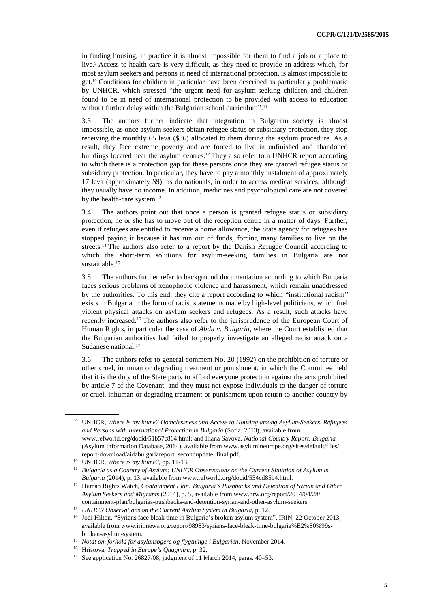in finding housing, in practice it is almost impossible for them to find a job or a place to live.<sup>9</sup> Access to health care is very difficult, as they need to provide an address which, for most asylum seekers and persons in need of international protection, is almost impossible to get.<sup>10</sup> Conditions for children in particular have been described as particularly problematic by UNHCR, which stressed "the urgent need for asylum-seeking children and children found to be in need of international protection to be provided with access to education without further delay within the Bulgarian school curriculum".<sup>11</sup>

3.3 The authors further indicate that integration in Bulgarian society is almost impossible, as once asylum seekers obtain refugee status or subsidiary protection, they stop receiving the monthly 65 leva (\$36) allocated to them during the asylum procedure. As a result, they face extreme poverty and are forced to live in unfinished and abandoned buildings located near the asylum centres.<sup>12</sup> They also refer to a UNHCR report according to which there is a protection gap for these persons once they are granted refugee status or subsidiary protection. In particular, they have to pay a monthly instalment of approximately 17 leva (approximately \$9), as do nationals, in order to access medical services, although they usually have no income. In addition, medicines and psychological care are not covered by the health-care system.<sup>13</sup>

3.4 The authors point out that once a person is granted refugee status or subsidiary protection, he or she has to move out of the reception centre in a matter of days. Further, even if refugees are entitled to receive a home allowance, the State agency for refugees has stopped paying it because it has run out of funds, forcing many families to live on the streets.<sup>14</sup> The authors also refer to a report by the Danish Refugee Council according to which the short-term solutions for asylum-seeking families in Bulgaria are not sustainable.<sup>15</sup>

3.5 The authors further refer to background documentation according to which Bulgaria faces serious problems of xenophobic violence and harassment, which remain unaddressed by the authorities. To this end, they cite a report according to which "institutional racism" exists in Bulgaria in the form of racist statements made by high-level politicians, which fuel violent physical attacks on asylum seekers and refugees. As a result, such attacks have recently increased.<sup>16</sup> The authors also refer to the jurisprudence of the European Court of Human Rights, in particular the case of *Abdu v. Bulgaria*, where the Court established that the Bulgarian authorities had failed to properly investigate an alleged racist attack on a Sudanese national.<sup>17</sup>

3.6 The authors refer to general comment No. 20 (1992) on the prohibition of torture or other cruel, inhuman or degrading treatment or punishment, in which the Committee held that it is the duty of the State party to afford everyone protection against the acts prohibited by article 7 of the Covenant, and they must not expose individuals to the danger of torture or cruel, inhuman or degrading treatment or punishment upon return to another country by

<sup>9</sup> UNHCR, *Where is my home? Homelessness and Access to Housing among Asylum-Seekers, Refugees and Persons with International Protection in Bulgaria* (Sofia, 2013), available from [www.refworld.org/docid/51b57c864.html;](http://www.refworld.org/docid/51b57c864.html) and Iliana Savova, *National Country Report: Bulgaria* (Asylum Information Database, 2014), available from www.asylumineurope.org/sites/default/files/ report-download/aidabulgariareport\_secondupdate\_final.pdf.

<sup>10</sup> UNHCR, *Where is my home?*, pp. 11-13.

<sup>11</sup> *Bulgaria as a Country of Asylum: UNHCR Observations on the Current Situation of Asylum in Bulgaria* (2014), p. 13, available from www.refworld.org/docid/534cd85b4.html.

<sup>12</sup> Human Rights Watch, *Containment Plan: Bulgaria's Pushbacks and Detention of Syrian and Other Asylum Seekers and Migrants* (2014), p. 5, available from www.hrw.org/report/2014/04/28/ containment-plan/bulgarias-pushbacks-and-detention-syrian-and-other-asylum-seekers.

<sup>13</sup> *UNHCR Observations on the Current Asylum System in Bulgaria*, p. 12.

<sup>&</sup>lt;sup>14</sup> Jodi Hilton, "Syrians face bleak time in Bulgaria's broken asylum system", IRIN, 22 October 2013, available from [www.irinnews.org/report/98983/syrians-face-bleak-time-bulgaria%E2%80%99s](http://www.irinnews.org/report/98983/syrians-face-bleak-time-bulgaria%E2%80%99s-broken-asylum-system)[broken-asylum-system.](http://www.irinnews.org/report/98983/syrians-face-bleak-time-bulgaria%E2%80%99s-broken-asylum-system)

<sup>15</sup> *Notat om forhold for asylansøgere og flygtninge i Bulgarien*, November 2014.

<sup>16</sup> Hristova, *Trapped in Europe's Quagmire*, p. 32.

<sup>17</sup> See application No. 26827/08, judgment of 11 March 2014, paras. 40–53.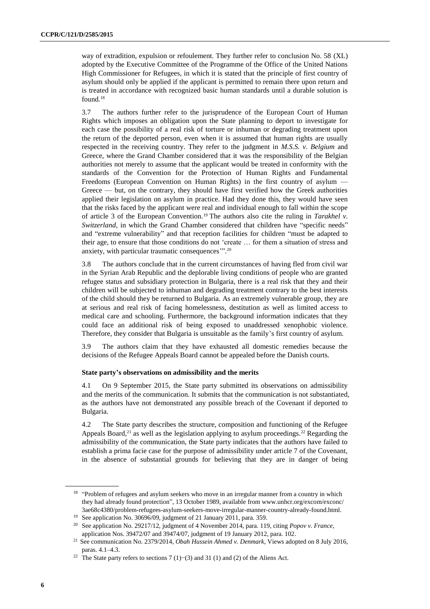way of extradition, expulsion or refoulement. They further refer to conclusion No. 58 (XL) adopted by the Executive Committee of the Programme of the Office of the United Nations High Commissioner for Refugees, in which it is stated that the principle of first country of asylum should only be applied if the applicant is permitted to remain there upon return and is treated in accordance with recognized basic human standards until a durable solution is found.<sup>18</sup>

3.7 The authors further refer to the jurisprudence of the European Court of Human Rights which imposes an obligation upon the State planning to deport to investigate for each case the possibility of a real risk of torture or inhuman or degrading treatment upon the return of the deported person, even when it is assumed that human rights are usually respected in the receiving country. They refer to the judgment in *M.S.S. v. Belgium* and Greece, where the Grand Chamber considered that it was the responsibility of the Belgian authorities not merely to assume that the applicant would be treated in conformity with the standards of the Convention for the Protection of Human Rights and Fundamental Freedoms (European Convention on Human Rights) in the first country of asylum — Greece — but, on the contrary, they should have first verified how the Greek authorities applied their legislation on asylum in practice. Had they done this, they would have seen that the risks faced by the applicant were real and individual enough to fall within the scope of article 3 of the European Convention.<sup>19</sup> The authors also cite the ruling in *Tarakhel v. Switzerland*, in which the Grand Chamber considered that children have "specific needs" and "extreme vulnerability" and that reception facilities for children "must be adapted to their age, to ensure that those conditions do not 'create … for them a situation of stress and anxiety, with particular traumatic consequences'". 20

3.8 The authors conclude that in the current circumstances of having fled from civil war in the Syrian Arab Republic and the deplorable living conditions of people who are granted refugee status and subsidiary protection in Bulgaria, there is a real risk that they and their children will be subjected to inhuman and degrading treatment contrary to the best interests of the child should they be returned to Bulgaria. As an extremely vulnerable group, they are at serious and real risk of facing homelessness, destitution as well as limited access to medical care and schooling. Furthermore, the background information indicates that they could face an additional risk of being exposed to unaddressed xenophobic violence. Therefore, they consider that Bulgaria is unsuitable as the family's first country of asylum.

3.9 The authors claim that they have exhausted all domestic remedies because the decisions of the Refugee Appeals Board cannot be appealed before the Danish courts.

#### **State party's observations on admissibility and the merits**

4.1 On 9 September 2015, the State party submitted its observations on admissibility and the merits of the communication. It submits that the communication is not substantiated, as the authors have not demonstrated any possible breach of the Covenant if deported to Bulgaria.

4.2 The State party describes the structure, composition and functioning of the Refugee Appeals Board, $21$  as well as the legislation applying to asylum proceedings.  $22$  Regarding the admissibility of the communication, the State party indicates that the authors have failed to establish a prima facie case for the purpose of admissibility under article 7 of the Covenant, in the absence of substantial grounds for believing that they are in danger of being

<sup>&</sup>lt;sup>18</sup> "Problem of refugees and asylum seekers who move in an irregular manner from a country in which they had already found protection", 13 October 1989, available from www.unhcr.org/excom/exconc/ 3ae68c4380/problem-refugees-asylum-seekers-move-irregular-manner-country-already-found.html.

<sup>&</sup>lt;sup>19</sup> See application No. 30696/09, judgment of 21 January 2011, para. 359.

<sup>20</sup> See application No. 29217/12, judgment of 4 November 2014, para. 119, citing *Popov v. France*, application Nos. 39472/07 and 39474/07, judgment of 19 January 2012, para. 102.

<sup>21</sup> See communication No. 2379/2014, *Obah Hussein Ahmed v. Denmark*, Views adopted on 8 July 2016, paras. 4.1–4.3.

<sup>&</sup>lt;sup>22</sup> The State party refers to sections 7 (1)–(3) and 31 (1) and (2) of the Aliens Act.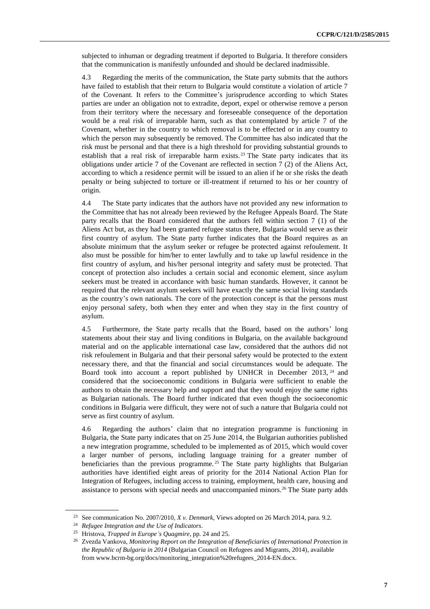subjected to inhuman or degrading treatment if deported to Bulgaria. It therefore considers that the communication is manifestly unfounded and should be declared inadmissible.

4.3 Regarding the merits of the communication, the State party submits that the authors have failed to establish that their return to Bulgaria would constitute a violation of article 7 of the Covenant. It refers to the Committee's jurisprudence according to which States parties are under an obligation not to extradite, deport, expel or otherwise remove a person from their territory where the necessary and foreseeable consequence of the deportation would be a real risk of irreparable harm, such as that contemplated by article 7 of the Covenant, whether in the country to which removal is to be effected or in any country to which the person may subsequently be removed. The Committee has also indicated that the risk must be personal and that there is a high threshold for providing substantial grounds to establish that a real risk of irreparable harm exists.<sup>23</sup> The State party indicates that its obligations under article 7 of the Covenant are reflected in section 7 (2) of the Aliens Act, according to which a residence permit will be issued to an alien if he or she risks the death penalty or being subjected to torture or ill-treatment if returned to his or her country of origin.

4.4 The State party indicates that the authors have not provided any new information to the Committee that has not already been reviewed by the Refugee Appeals Board. The State party recalls that the Board considered that the authors fell within section 7 (1) of the Aliens Act but, as they had been granted refugee status there, Bulgaria would serve as their first country of asylum. The State party further indicates that the Board requires as an absolute minimum that the asylum seeker or refugee be protected against refoulement. It also must be possible for him/her to enter lawfully and to take up lawful residence in the first country of asylum, and his/her personal integrity and safety must be protected. That concept of protection also includes a certain social and economic element, since asylum seekers must be treated in accordance with basic human standards. However, it cannot be required that the relevant asylum seekers will have exactly the same social living standards as the country's own nationals. The core of the protection concept is that the persons must enjoy personal safety, both when they enter and when they stay in the first country of asylum.

4.5 Furthermore, the State party recalls that the Board, based on the authors' long statements about their stay and living conditions in Bulgaria, on the available background material and on the applicable international case law, considered that the authors did not risk refoulement in Bulgaria and that their personal safety would be protected to the extent necessary there, and that the financial and social circumstances would be adequate. The Board took into account a report published by UNHCR in December 2013,  $24$  and considered that the socioeconomic conditions in Bulgaria were sufficient to enable the authors to obtain the necessary help and support and that they would enjoy the same rights as Bulgarian nationals. The Board further indicated that even though the socioeconomic conditions in Bulgaria were difficult, they were not of such a nature that Bulgaria could not serve as first country of asylum.

4.6 Regarding the authors' claim that no integration programme is functioning in Bulgaria, the State party indicates that on 25 June 2014, the Bulgarian authorities published a new integration programme, scheduled to be implemented as of 2015, which would cover a larger number of persons, including language training for a greater number of beneficiaries than the previous programme.<sup>25</sup> The State party highlights that Bulgarian authorities have identified eight areas of priority for the 2014 National Action Plan for Integration of Refugees, including access to training, employment, health care, housing and assistance to persons with special needs and unaccompanied minors.<sup>26</sup> The State party adds

<sup>23</sup> See communication No. 2007/2010, *X v. Denmark*, Views adopted on 26 March 2014, para. 9.2.

<sup>24</sup> *Refugee Integration and the Use of Indicators*.

<sup>25</sup> Hristova, *Trapped in Europe's Quagmire*, pp. 24 and 25.

<sup>26</sup> Zvezda Vankova, *Monitoring Report on the Integration of Beneficiaries of International Protection in the Republic of Bulgaria in 2014* (Bulgarian Council on Refugees and Migrants, 2014), available from www.bcrm-bg.org/docs/monitoring\_integration%20refugees\_2014-EN.docx.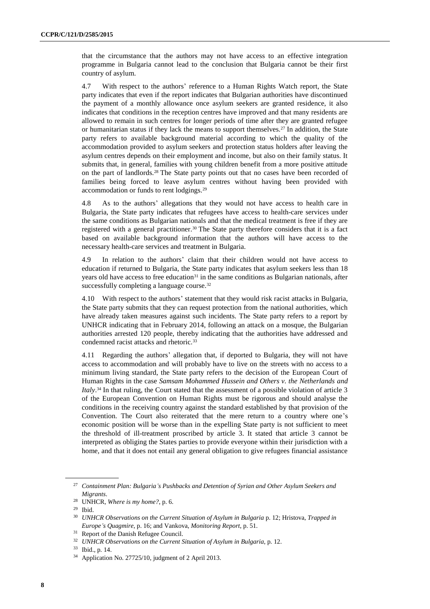that the circumstance that the authors may not have access to an effective integration programme in Bulgaria cannot lead to the conclusion that Bulgaria cannot be their first country of asylum.

4.7 With respect to the authors' reference to a Human Rights Watch report, the State party indicates that even if the report indicates that Bulgarian authorities have discontinued the payment of a monthly allowance once asylum seekers are granted residence, it also indicates that conditions in the reception centres have improved and that many residents are allowed to remain in such centres for longer periods of time after they are granted refugee or humanitarian status if they lack the means to support themselves.<sup>27</sup> In addition, the State party refers to available background material according to which the quality of the accommodation provided to asylum seekers and protection status holders after leaving the asylum centres depends on their employment and income, but also on their family status. It submits that, in general, families with young children benefit from a more positive attitude on the part of landlords.<sup>28</sup> The State party points out that no cases have been recorded of families being forced to leave asylum centres without having been provided with accommodation or funds to rent lodgings.<sup>29</sup>

4.8 As to the authors' allegations that they would not have access to health care in Bulgaria, the State party indicates that refugees have access to health-care services under the same conditions as Bulgarian nationals and that the medical treatment is free if they are registered with a general practitioner.<sup>30</sup> The State party therefore considers that it is a fact based on available background information that the authors will have access to the necessary health-care services and treatment in Bulgaria.

4.9 In relation to the authors' claim that their children would not have access to education if returned to Bulgaria, the State party indicates that asylum seekers less than 18 years old have access to free education $31$  in the same conditions as Bulgarian nationals, after successfully completing a language course.<sup>32</sup>

4.10 With respect to the authors' statement that they would risk racist attacks in Bulgaria, the State party submits that they can request protection from the national authorities, which have already taken measures against such incidents. The State party refers to a report by UNHCR indicating that in February 2014, following an attack on a mosque, the Bulgarian authorities arrested 120 people, thereby indicating that the authorities have addressed and condemned racist attacks and rhetoric.<sup>33</sup>

4.11 Regarding the authors' allegation that, if deported to Bulgaria, they will not have access to accommodation and will probably have to live on the streets with no access to a minimum living standard, the State party refers to the decision of the European Court of Human Rights in the case *Samsam Mohammed Hussein and Others v. the Netherlands and Italy*. <sup>34</sup> In that ruling, the Court stated that the assessment of a possible violation of article 3 of the European Convention on Human Rights must be rigorous and should analyse the conditions in the receiving country against the standard established by that provision of the Convention. The Court also reiterated that the mere return to a country where one's economic position will be worse than in the expelling State party is not sufficient to meet the threshold of ill-treatment proscribed by article 3. It stated that article 3 cannot be interpreted as obliging the States parties to provide everyone within their jurisdiction with a home, and that it does not entail any general obligation to give refugees financial assistance

<sup>27</sup> *Containment Plan: Bulgaria's Pushbacks and Detention of Syrian and Other Asylum Seekers and Migrants*.

<sup>28</sup> UNHCR, *Where is my home?*, p. 6.

<sup>29</sup> Ibid.

<sup>30</sup> *UNHCR Observations on the Current Situation of Asylum in Bulgaria* p. 12; Hristova, *Trapped in Europe's Quagmire*, p. 16; and Vankova, *Monitoring Report*, p. 51.

<sup>&</sup>lt;sup>31</sup> Report of the Danish Refugee Council.

<sup>32</sup> *UNHCR Observations on the Current Situation of Asylum in Bulgaria*, p. 12.

<sup>33</sup> Ibid., p. 14.

<sup>34</sup> Application No. 27725/10, judgment of 2 April 2013.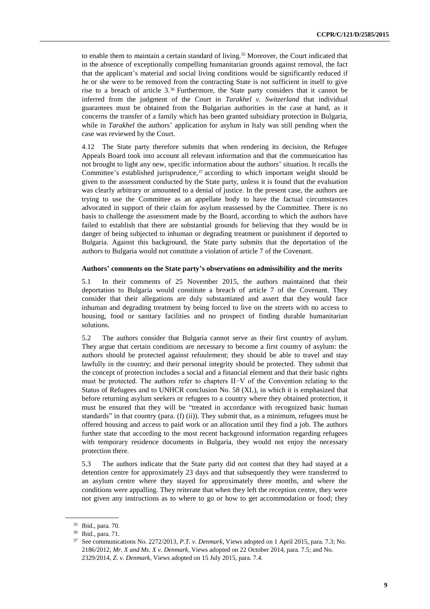to enable them to maintain a certain standard of living.<sup>35</sup> Moreover, the Court indicated that in the absence of exceptionally compelling humanitarian grounds against removal, the fact that the applicant's material and social living conditions would be significantly reduced if he or she were to be removed from the contracting State is not sufficient in itself to give rise to a breach of article 3.<sup>36</sup> Furthermore, the State party considers that it cannot be inferred from the judgment of the Court in *Tarakhel v. Switzerland* that individual guarantees must be obtained from the Bulgarian authorities in the case at hand, as it concerns the transfer of a family which has been granted subsidiary protection in Bulgaria, while in *Tarakhel* the authors' application for asylum in Italy was still pending when the case was reviewed by the Court.

4.12 The State party therefore submits that when rendering its decision, the Refugee Appeals Board took into account all relevant information and that the communication has not brought to light any new, specific information about the authors' situation. It recalls the Committee's established jurisprudence, $37$  according to which important weight should be given to the assessment conducted by the State party, unless it is found that the evaluation was clearly arbitrary or amounted to a denial of justice. In the present case, the authors are trying to use the Committee as an appellate body to have the factual circumstances advocated in support of their claim for asylum reassessed by the Committee. There is no basis to challenge the assessment made by the Board, according to which the authors have failed to establish that there are substantial grounds for believing that they would be in danger of being subjected to inhuman or degrading treatment or punishment if deported to Bulgaria. Against this background, the State party submits that the deportation of the authors to Bulgaria would not constitute a violation of article 7 of the Covenant.

#### **Authors' comments on the State party's observations on admissibility and the merits**

5.1 In their comments of 25 November 2015, the authors maintained that their deportation to Bulgaria would constitute a breach of article 7 of the Covenant. They consider that their allegations are duly substantiated and assert that they would face inhuman and degrading treatment by being forced to live on the streets with no access to housing, food or sanitary facilities and no prospect of finding durable humanitarian solutions.

5.2 The authors consider that Bulgaria cannot serve as their first country of asylum. They argue that certain conditions are necessary to become a first country of asylum: the authors should be protected against refoulement; they should be able to travel and stay lawfully in the country; and their personal integrity should be protected. They submit that the concept of protection includes a social and a financial element and that their basic rights must be protected. The authors refer to chapters II−V of the Convention relating to the Status of Refugees and to UNHCR conclusion No. 58 (XL), in which it is emphasized that before returning asylum seekers or refugees to a country where they obtained protection, it must be ensured that they will be "treated in accordance with recognized basic human standards" in that country (para. (f) (ii)). They submit that, as a minimum, refugees must be offered housing and access to paid work or an allocation until they find a job. The authors further state that according to the most recent background information regarding refugees with temporary residence documents in Bulgaria, they would not enjoy the necessary protection there.

5.3 The authors indicate that the State party did not contest that they had stayed at a detention centre for approximately 23 days and that subsequently they were transferred to an asylum centre where they stayed for approximately three months, and where the conditions were appalling. They reiterate that when they left the reception centre, they were not given any instructions as to where to go or how to get accommodation or food; they

<sup>35</sup> Ibid., para. 70.

<sup>36</sup> Ibid., para. 71.

<sup>37</sup> See communications No. 2272/2013, *P.T. v. Denmark*, Views adopted on 1 April 2015, para. 7.3; No. 2186/2012, *Mr. X and Ms. X v. Denmark*, Views adopted on 22 October 2014, para. 7.5; and No. 2329/2014, *Z. v. Denmark*, Views adopted on 15 July 2015, para. 7.4.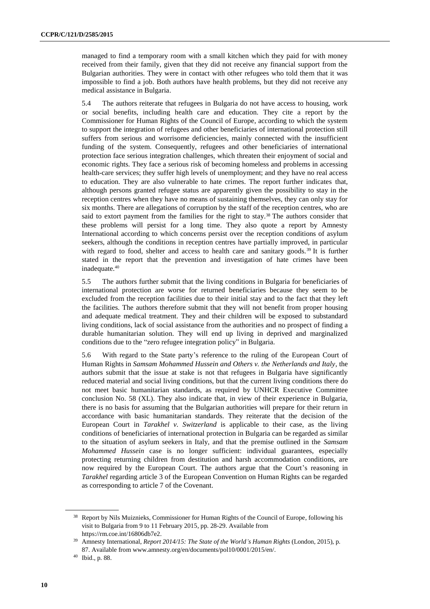managed to find a temporary room with a small kitchen which they paid for with money received from their family, given that they did not receive any financial support from the Bulgarian authorities. They were in contact with other refugees who told them that it was impossible to find a job. Both authors have health problems, but they did not receive any medical assistance in Bulgaria.

5.4 The authors reiterate that refugees in Bulgaria do not have access to housing, work or social benefits, including health care and education. They cite a report by the Commissioner for Human Rights of the Council of Europe, according to which the system to support the integration of refugees and other beneficiaries of international protection still suffers from serious and worrisome deficiencies, mainly connected with the insufficient funding of the system. Consequently, refugees and other beneficiaries of international protection face serious integration challenges, which threaten their enjoyment of social and economic rights. They face a serious risk of becoming homeless and problems in accessing health-care services; they suffer high levels of unemployment; and they have no real access to education. They are also vulnerable to hate crimes. The report further indicates that, although persons granted refugee status are apparently given the possibility to stay in the reception centres when they have no means of sustaining themselves, they can only stay for six months. There are allegations of corruption by the staff of the reception centres, who are said to extort payment from the families for the right to stay.<sup>38</sup> The authors consider that these problems will persist for a long time. They also quote a report by Amnesty International according to which concerns persist over the reception conditions of asylum seekers, although the conditions in reception centres have partially improved, in particular with regard to food, shelter and access to health care and sanitary goods.<sup>39</sup> It is further stated in the report that the prevention and investigation of hate crimes have been inadequate.<sup>40</sup>

5.5 The authors further submit that the living conditions in Bulgaria for beneficiaries of international protection are worse for returned beneficiaries because they seem to be excluded from the reception facilities due to their initial stay and to the fact that they left the facilities. The authors therefore submit that they will not benefit from proper housing and adequate medical treatment. They and their children will be exposed to substandard living conditions, lack of social assistance from the authorities and no prospect of finding a durable humanitarian solution. They will end up living in deprived and marginalized conditions due to the "zero refugee integration policy" in Bulgaria.

5.6 With regard to the State party's reference to the ruling of the European Court of Human Rights in *Samsam Mohammed Hussein and Others v. the Netherlands and Italy*, the authors submit that the issue at stake is not that refugees in Bulgaria have significantly reduced material and social living conditions, but that the current living conditions there do not meet basic humanitarian standards, as required by UNHCR Executive Committee conclusion No. 58 (XL). They also indicate that, in view of their experience in Bulgaria, there is no basis for assuming that the Bulgarian authorities will prepare for their return in accordance with basic humanitarian standards. They reiterate that the decision of the European Court in *Tarakhel v. Switzerland* is applicable to their case, as the living conditions of beneficiaries of international protection in Bulgaria can be regarded as similar to the situation of asylum seekers in Italy, and that the premise outlined in the *Samsam Mohammed Hussein* case is no longer sufficient: individual guarantees, especially protecting returning children from destitution and harsh accommodation conditions, are now required by the European Court. The authors argue that the Court's reasoning in *Tarakhel* regarding article 3 of the European Convention on Human Rights can be regarded as corresponding to article 7 of the Covenant.

<sup>38</sup> Report by Nils Muiznieks, Commissioner for Human Rights of the Council of Europe, following his visit to Bulgaria from 9 to 11 February 2015, pp. 28-29. Available from https://rm.coe.int/16806db7e2.

<sup>39</sup> Amnesty International, *Report 2014/15: The State of the World's Human Rights* (London, 2015), p. 87. Available from www.amnesty.org/en/documents/pol10/0001/2015/en/.

<sup>40</sup> Ibid., p. 88.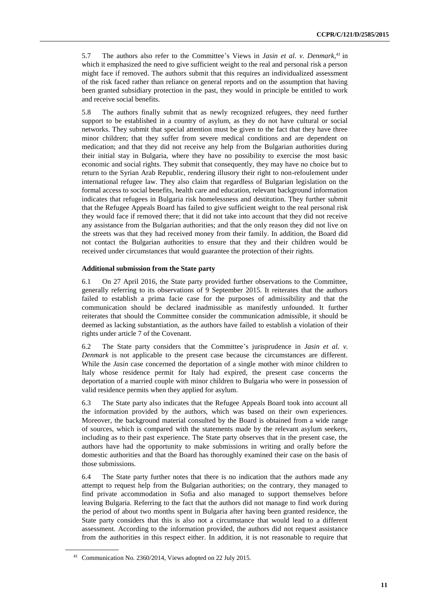5.7 The authors also refer to the Committee's Views in *Jasin et al. v. Denmark*, <sup>41</sup> in which it emphasized the need to give sufficient weight to the real and personal risk a person might face if removed. The authors submit that this requires an individualized assessment of the risk faced rather than reliance on general reports and on the assumption that having been granted subsidiary protection in the past, they would in principle be entitled to work and receive social benefits.

5.8 The authors finally submit that as newly recognized refugees, they need further support to be established in a country of asylum, as they do not have cultural or social networks. They submit that special attention must be given to the fact that they have three minor children; that they suffer from severe medical conditions and are dependent on medication; and that they did not receive any help from the Bulgarian authorities during their initial stay in Bulgaria, where they have no possibility to exercise the most basic economic and social rights. They submit that consequently, they may have no choice but to return to the Syrian Arab Republic, rendering illusory their right to non-refoulement under international refugee law. They also claim that regardless of Bulgarian legislation on the formal access to social benefits, health care and education, relevant background information indicates that refugees in Bulgaria risk homelessness and destitution. They further submit that the Refugee Appeals Board has failed to give sufficient weight to the real personal risk they would face if removed there; that it did not take into account that they did not receive any assistance from the Bulgarian authorities; and that the only reason they did not live on the streets was that they had received money from their family. In addition, the Board did not contact the Bulgarian authorities to ensure that they and their children would be received under circumstances that would guarantee the protection of their rights.

#### **Additional submission from the State party**

6.1 On 27 April 2016, the State party provided further observations to the Committee, generally referring to its observations of 9 September 2015. It reiterates that the authors failed to establish a prima facie case for the purposes of admissibility and that the communication should be declared inadmissible as manifestly unfounded. It further reiterates that should the Committee consider the communication admissible, it should be deemed as lacking substantiation, as the authors have failed to establish a violation of their rights under article 7 of the Covenant.

6.2 The State party considers that the Committee's jurisprudence in *Jasin et al. v. Denmark* is not applicable to the present case because the circumstances are different. While the *Jasin* case concerned the deportation of a single mother with minor children to Italy whose residence permit for Italy had expired, the present case concerns the deportation of a married couple with minor children to Bulgaria who were in possession of valid residence permits when they applied for asylum.

6.3 The State party also indicates that the Refugee Appeals Board took into account all the information provided by the authors, which was based on their own experiences. Moreover, the background material consulted by the Board is obtained from a wide range of sources, which is compared with the statements made by the relevant asylum seekers, including as to their past experience. The State party observes that in the present case, the authors have had the opportunity to make submissions in writing and orally before the domestic authorities and that the Board has thoroughly examined their case on the basis of those submissions.

6.4 The State party further notes that there is no indication that the authors made any attempt to request help from the Bulgarian authorities; on the contrary, they managed to find private accommodation in Sofia and also managed to support themselves before leaving Bulgaria. Referring to the fact that the authors did not manage to find work during the period of about two months spent in Bulgaria after having been granted residence, the State party considers that this is also not a circumstance that would lead to a different assessment. According to the information provided, the authors did not request assistance from the authorities in this respect either. In addition, it is not reasonable to require that

<sup>41</sup> Communication No. 2360/2014, Views adopted on 22 July 2015.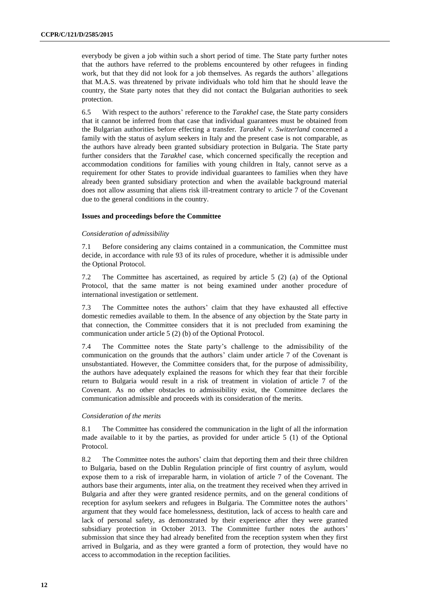everybody be given a job within such a short period of time. The State party further notes that the authors have referred to the problems encountered by other refugees in finding work, but that they did not look for a job themselves. As regards the authors' allegations that M.A.S. was threatened by private individuals who told him that he should leave the country, the State party notes that they did not contact the Bulgarian authorities to seek protection.

6.5 With respect to the authors' reference to the *Tarakhel* case, the State party considers that it cannot be inferred from that case that individual guarantees must be obtained from the Bulgarian authorities before effecting a transfer. *Tarakhel v. Switzerland* concerned a family with the status of asylum seekers in Italy and the present case is not comparable, as the authors have already been granted subsidiary protection in Bulgaria. The State party further considers that the *Tarakhel* case, which concerned specifically the reception and accommodation conditions for families with young children in Italy, cannot serve as a requirement for other States to provide individual guarantees to families when they have already been granted subsidiary protection and when the available background material does not allow assuming that aliens risk ill-treatment contrary to article 7 of the Covenant due to the general conditions in the country.

#### **Issues and proceedings before the Committee**

#### *Consideration of admissibility*

7.1 Before considering any claims contained in a communication, the Committee must decide, in accordance with rule 93 of its rules of procedure, whether it is admissible under the Optional Protocol.

7.2 The Committee has ascertained, as required by article 5 (2) (a) of the Optional Protocol, that the same matter is not being examined under another procedure of international investigation or settlement.

7.3 The Committee notes the authors' claim that they have exhausted all effective domestic remedies available to them. In the absence of any objection by the State party in that connection, the Committee considers that it is not precluded from examining the communication under article 5 (2) (b) of the Optional Protocol.

7.4 The Committee notes the State party's challenge to the admissibility of the communication on the grounds that the authors' claim under article 7 of the Covenant is unsubstantiated. However, the Committee considers that, for the purpose of admissibility, the authors have adequately explained the reasons for which they fear that their forcible return to Bulgaria would result in a risk of treatment in violation of article 7 of the Covenant. As no other obstacles to admissibility exist, the Committee declares the communication admissible and proceeds with its consideration of the merits.

#### *Consideration of the merits*

8.1 The Committee has considered the communication in the light of all the information made available to it by the parties, as provided for under article 5 (1) of the Optional Protocol.

8.2 The Committee notes the authors' claim that deporting them and their three children to Bulgaria, based on the Dublin Regulation principle of first country of asylum, would expose them to a risk of irreparable harm, in violation of article 7 of the Covenant. The authors base their arguments, inter alia, on the treatment they received when they arrived in Bulgaria and after they were granted residence permits, and on the general conditions of reception for asylum seekers and refugees in Bulgaria. The Committee notes the authors' argument that they would face homelessness, destitution, lack of access to health care and lack of personal safety, as demonstrated by their experience after they were granted subsidiary protection in October 2013. The Committee further notes the authors' submission that since they had already benefited from the reception system when they first arrived in Bulgaria, and as they were granted a form of protection, they would have no access to accommodation in the reception facilities.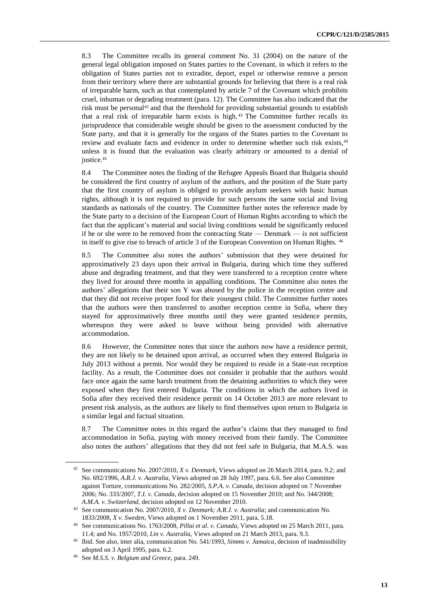8.3 The Committee recalls its general comment No. 31 (2004) on the nature of the general legal obligation imposed on States parties to the Covenant, in which it refers to the obligation of States parties not to extradite, deport, expel or otherwise remove a person from their territory where there are substantial grounds for believing that there is a real risk of irreparable harm, such as that contemplated by article 7 of the Covenant which prohibits cruel, inhuman or degrading treatment (para. 12). The Committee has also indicated that the risk must be personal<sup>42</sup> and that the threshold for providing substantial grounds to establish that a real risk of irreparable harm exists is high. <sup>43</sup> The Committee further recalls its jurisprudence that considerable weight should be given to the assessment conducted by the State party, and that it is generally for the organs of the States parties to the Covenant to review and evaluate facts and evidence in order to determine whether such risk exists,<sup>44</sup> unless it is found that the evaluation was clearly arbitrary or amounted to a denial of justice.<sup>45</sup>

8.4 The Committee notes the finding of the Refugee Appeals Board that Bulgaria should be considered the first country of asylum of the authors, and the position of the State party that the first country of asylum is obliged to provide asylum seekers with basic human rights, although it is not required to provide for such persons the same social and living standards as nationals of the country. The Committee further notes the reference made by the State party to a decision of the European Court of Human Rights according to which the fact that the applicant's material and social living conditions would be significantly reduced if he or she were to be removed from the contracting State — Denmark — is not sufficient in itself to give rise to breach of article 3 of the European Convention on Human Rights. 46

8.5 The Committee also notes the authors' submission that they were detained for approximatively 23 days upon their arrival in Bulgaria, during which time they suffered abuse and degrading treatment, and that they were transferred to a reception centre where they lived for around three months in appalling conditions. The Committee also notes the authors' allegations that their son Y was abused by the police in the reception centre and that they did not receive proper food for their youngest child. The Committee further notes that the authors were then transferred to another reception centre in Sofia, where they stayed for approximatively three months until they were granted residence permits, whereupon they were asked to leave without being provided with alternative accommodation.

8.6 However, the Committee notes that since the authors now have a residence permit, they are not likely to be detained upon arrival, as occurred when they entered Bulgaria in July 2013 without a permit. Nor would they be required to reside in a State-run reception facility. As a result, the Committee does not consider it probable that the authors would face once again the same harsh treatment from the detaining authorities to which they were exposed when they first entered Bulgaria. The conditions in which the authors lived in Sofia after they received their residence permit on 14 October 2013 are more relevant to present risk analysis, as the authors are likely to find themselves upon return to Bulgaria in a similar legal and factual situation.

8.7 The Committee notes in this regard the author's claims that they managed to find accommodation in Sofia, paying with money received from their family. The Committee also notes the authors' allegations that they did not feel safe in Bulgaria, that M.A.S. was

<sup>42</sup> See communications No. 2007/2010, *X v. Denmark*, Views adopted on 26 March 2014, para. 9.2; and No. 692/1996, *A.R.J. v. Australia*, Views adopted on 28 July 1997, para. 6.6. See also Committee against Torture, communications No. 282/2005, *S.P.A. v. Canada*, decision adopted on 7 November 2006; No. 333/2007, *T.I. v. Canada*, decision adopted on 15 November 2010; and No. 344/2008; *A.M.A. v. Switzerland*, decision adopted on 12 November 2010.

<sup>43</sup> See communication No. 2007/2010, *X v. Denmark; A.R.J. v. Australia*; and communication No. 1833/2008, *X v. Sweden*, Views adopted on 1 November 2011, para. 5.18.

<sup>44</sup> See communications No. 1763/2008, *Pillai et al. v. Canada*, Views adopted on 25 March 2011, para. 11.4; and No. 1957/2010, *Lin v. Australia*, Views adopted on 21 March 2013, para. 9.3.

<sup>45</sup> Ibid. See also, inter alia, communication No. 541/1993, *Simms v. Jamaica*, decision of inadmissibility adopted on 3 April 1995, para. 6.2.

<sup>46</sup> See *M.S.S. v. Belgium and Greece*, para. 249.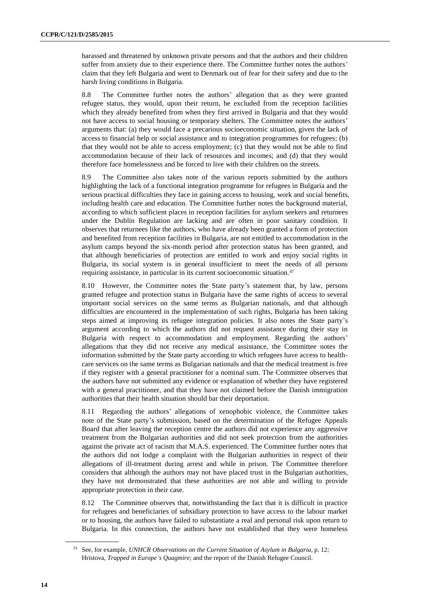harassed and threatened by unknown private persons and that the authors and their children suffer from anxiety due to their experience there. The Committee further notes the authors' claim that they left Bulgaria and went to Denmark out of fear for their safety and due to the harsh living conditions in Bulgaria.

8.8 The Committee further notes the authors' allegation that as they were granted refugee status, they would, upon their return, be excluded from the reception facilities which they already benefited from when they first arrived in Bulgaria and that they would not have access to social housing or temporary shelters. The Committee notes the authors' arguments that: (a) they would face a precarious socioeconomic situation, given the lack of access to financial help or social assistance and to integration programmes for refugees; (b) that they would not be able to access employment; (c) that they would not be able to find accommodation because of their lack of resources and incomes; and (d) that they would therefore face homelessness and be forced to live with their children on the streets.

8.9 The Committee also takes note of the various reports submitted by the authors highlighting the lack of a functional integration programme for refugees in Bulgaria and the serious practical difficulties they face in gaining access to housing, work and social benefits, including health care and education. The Committee further notes the background material, according to which sufficient places in reception facilities for asylum seekers and returnees under the Dublin Regulation are lacking and are often in poor sanitary condition. It observes that returnees like the authors, who have already been granted a form of protection and benefited from reception facilities in Bulgaria, are not entitled to accommodation in the asylum camps beyond the six-month period after protection status has been granted, and that although beneficiaries of protection are entitled to work and enjoy social rights in Bulgaria, its social system is in general insufficient to meet the needs of all persons requiring assistance, in particular in its current socioeconomic situation.<sup>47</sup>

8.10 However, the Committee notes the State party's statement that, by law, persons granted refugee and protection status in Bulgaria have the same rights of access to several important social services on the same terms as Bulgarian nationals, and that although difficulties are encountered in the implementation of such rights, Bulgaria has been taking steps aimed at improving its refugee integration policies. It also notes the State party's argument according to which the authors did not request assistance during their stay in Bulgaria with respect to accommodation and employment. Regarding the authors' allegations that they did not receive any medical assistance, the Committee notes the information submitted by the State party according to which refugees have access to healthcare services on the same terms as Bulgarian nationals and that the medical treatment is free if they register with a general practitioner for a nominal sum. The Committee observes that the authors have not submitted any evidence or explanation of whether they have registered with a general practitioner, and that they have not claimed before the Danish immigration authorities that their health situation should bar their deportation.

8.11 Regarding the authors' allegations of xenophobic violence, the Committee takes note of the State party's submission, based on the determination of the Refugee Appeals Board that after leaving the reception centre the authors did not experience any aggressive treatment from the Bulgarian authorities and did not seek protection from the authorities against the private act of racism that M.A.S. experienced. The Committee further notes that the authors did not lodge a complaint with the Bulgarian authorities in respect of their allegations of ill-treatment during arrest and while in prison. The Committee therefore considers that although the authors may not have placed trust in the Bulgarian authorities, they have not demonstrated that these authorities are not able and willing to provide appropriate protection in their case.

8.12 The Committee observes that, notwithstanding the fact that it is difficult in practice for refugees and beneficiaries of subsidiary protection to have access to the labour market or to housing, the authors have failed to substantiate a real and personal risk upon return to Bulgaria. In this connection, the authors have not established that they were homeless

<sup>51</sup> See, for example, *UNHCR Observations on the Current Situation of Asylum in Bulgaria*, p. 12; Hristova, *Trapped in Europe's Quagmire*; and the report of the Danish Refugee Council.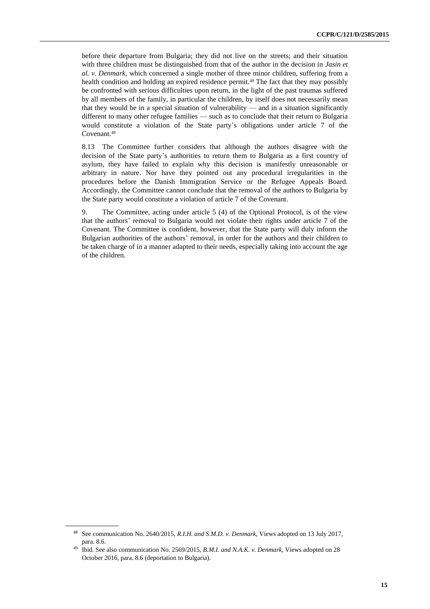before their departure from Bulgaria; they did not live on the streets; and their situation with three children must be distinguished from that of the author in the decision in *Jasin et al. v. Denmark*, which concerned a single mother of three minor children, suffering from a health condition and holding an expired residence permit.<sup>48</sup> The fact that they may possibly be confronted with serious difficulties upon return, in the light of the past traumas suffered by all members of the family, in particular the children, by itself does not necessarily mean that they would be in a special situation of vulnerability — and in a situation significantly different to many other refugee families — such as to conclude that their return to Bulgaria would constitute a violation of the State party's obligations under article 7 of the Covenant.<sup>49</sup>

8.13 The Committee further considers that although the authors disagree with the decision of the State party's authorities to return them to Bulgaria as a first country of asylum, they have failed to explain why this decision is manifestly unreasonable or arbitrary in nature. Nor have they pointed out any procedural irregularities in the procedures before the Danish Immigration Service or the Refugee Appeals Board. Accordingly, the Committee cannot conclude that the removal of the authors to Bulgaria by the State party would constitute a violation of article 7 of the Covenant.

9. The Committee, acting under article 5 (4) of the Optional Protocol, is of the view that the authors' removal to Bulgaria would not violate their rights under article 7 of the Covenant. The Committee is confident, however, that the State party will duly inform the Bulgarian authorities of the authors' removal, in order for the authors and their children to be taken charge of in a manner adapted to their needs, especially taking into account the age of the children.

<sup>48</sup> See communication No. 2640/2015, *R.I.H. and S.M.D. v. Denmark*, Views adopted on 13 July 2017, para. 8.6.

<sup>49</sup> Ibid. See also communication No. 2569/2015, *B.M.I. and N.A.K. v. Denmark*, Views adopted on 28 October 2016, para. 8.6 (deportation to Bulgaria).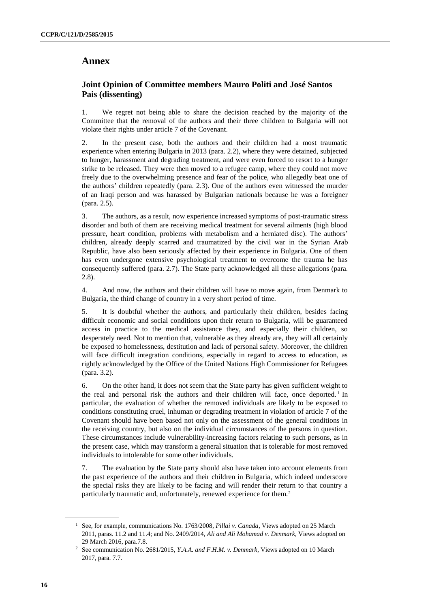### **Annex**

### **Joint Opinion of Committee members Mauro Politi and José Santos Pais (dissenting)**

1. We regret not being able to share the decision reached by the majority of the Committee that the removal of the authors and their three children to Bulgaria will not violate their rights under article 7 of the Covenant.

2. In the present case, both the authors and their children had a most traumatic experience when entering Bulgaria in 2013 (para. 2.2), where they were detained, subjected to hunger, harassment and degrading treatment, and were even forced to resort to a hunger strike to be released. They were then moved to a refugee camp, where they could not move freely due to the overwhelming presence and fear of the police, who allegedly beat one of the authors' children repeatedly (para. 2.3). One of the authors even witnessed the murder of an Iraqi person and was harassed by Bulgarian nationals because he was a foreigner (para. 2.5).

3. The authors, as a result, now experience increased symptoms of post-traumatic stress disorder and both of them are receiving medical treatment for several ailments (high blood pressure, heart condition, problems with metabolism and a herniated disc). The authors' children, already deeply scarred and traumatized by the civil war in the Syrian Arab Republic, have also been seriously affected by their experience in Bulgaria. One of them has even undergone extensive psychological treatment to overcome the trauma he has consequently suffered (para. 2.7). The State party acknowledged all these allegations (para. 2.8).

4. And now, the authors and their children will have to move again, from Denmark to Bulgaria, the third change of country in a very short period of time.

5. It is doubtful whether the authors, and particularly their children, besides facing difficult economic and social conditions upon their return to Bulgaria, will be guaranteed access in practice to the medical assistance they, and especially their children, so desperately need. Not to mention that, vulnerable as they already are, they will all certainly be exposed to homelessness, destitution and lack of personal safety. Moreover, the children will face difficult integration conditions, especially in regard to access to education, as rightly acknowledged by the Office of the United Nations High Commissioner for Refugees (para. 3.2).

6. On the other hand, it does not seem that the State party has given sufficient weight to the real and personal risk the authors and their children will face, once deported.<sup>1</sup> In particular, the evaluation of whether the removed individuals are likely to be exposed to conditions constituting cruel, inhuman or degrading treatment in violation of article 7 of the Covenant should have been based not only on the assessment of the general conditions in the receiving country, but also on the individual circumstances of the persons in question. These circumstances include vulnerability-increasing factors relating to such persons, as in the present case, which may transform a general situation that is tolerable for most removed individuals to intolerable for some other individuals.

7. The evaluation by the State party should also have taken into account elements from the past experience of the authors and their children in Bulgaria, which indeed underscore the special risks they are likely to be facing and will render their return to that country a particularly traumatic and, unfortunately, renewed experience for them.<sup>2</sup>

<sup>1</sup> See, for example, communications No. 1763/2008, *Pillai v. Canada*, Views adopted on 25 March 2011, paras. 11.2 and 11.4; and No. 2409/2014, *Ali and Ali Mohamad v. Denmark*, Views adopted on 29 March 2016, para.7.8.

<sup>2</sup> See communication No. 2681/2015, *Y.A.A. and F.H.M. v. Denmark*, Views adopted on 10 March 2017, para. 7.7.